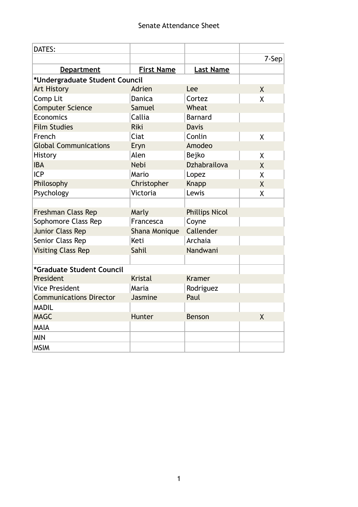| DATES:                         |                   |                       |                |
|--------------------------------|-------------------|-----------------------|----------------|
|                                |                   |                       | 7-Sep          |
| <b>Department</b>              | <b>First Name</b> | <b>Last Name</b>      |                |
| *Undergraduate Student Council |                   |                       |                |
| <b>Art History</b>             | Adrien            | Lee                   | $\mathsf{X}$   |
| Comp Lit                       | <b>Danica</b>     | Cortez                | X              |
| <b>Computer Science</b>        | Samuel            | Wheat                 |                |
| Economics                      | Callia            | <b>Barnard</b>        |                |
| <b>Film Studies</b>            | <b>Riki</b>       | <b>Davis</b>          |                |
| French                         | Ciat              | Conlin                | $\sf X$        |
| <b>Global Communications</b>   | Eryn              | Amodeo                |                |
| History                        | Alen              | Bejko                 | X              |
| <b>IBA</b>                     | <b>Nebi</b>       | Dzhabrailova          | X              |
| <b>ICP</b>                     | Mario             | Lopez                 | $\sf X$        |
| Philosophy                     | Christopher       | <b>Knapp</b>          | $\sf X$        |
| Psychology                     | Victoria          | Lewis                 | $\sf X$        |
|                                |                   |                       |                |
| Freshman Class Rep             | Marly             | <b>Phillips Nicol</b> |                |
| Sophomore Class Rep            | Francesca         | Coyne                 |                |
| <b>Junior Class Rep</b>        | Shana Monique     | Callender             |                |
| Senior Class Rep               | Keti              | Archaia               |                |
| <b>Visiting Class Rep</b>      | Sahil             | Nandwani              |                |
|                                |                   |                       |                |
| *Graduate Student Council      |                   |                       |                |
| President                      | <b>Kristal</b>    | <b>Kramer</b>         |                |
| <b>Vice President</b>          | Maria             | Rodriguez             |                |
| <b>Communications Director</b> | Jasmine           | Paul                  |                |
| <b>MADIL</b>                   |                   |                       |                |
| <b>MAGC</b>                    | Hunter            | <b>Benson</b>         | $\overline{X}$ |
| <b>MAIA</b>                    |                   |                       |                |
| <b>MIN</b>                     |                   |                       |                |
| <b>MSIM</b>                    |                   |                       |                |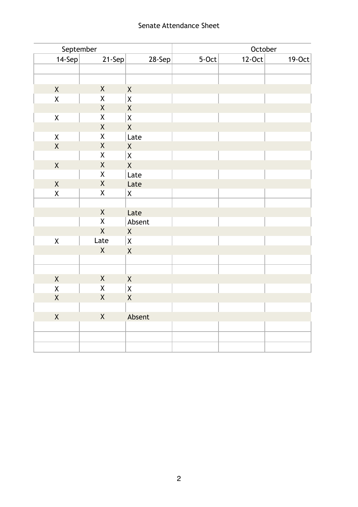# Senate Attendance Sheet

| September          |                    | October            |         |        |           |
|--------------------|--------------------|--------------------|---------|--------|-----------|
| 14-Sep             | 21-Sep             | 28-Sep             | $5-Oct$ | 12-Oct | $19$ -Oct |
|                    |                    |                    |         |        |           |
|                    |                    |                    |         |        |           |
| $\mathsf X$        | $\sf X$            | $\mathsf X$        |         |        |           |
| $\mathsf X$        | $\mathsf X$        | $\mathsf X$        |         |        |           |
|                    | $\mathsf X$        | $\mathsf X$        |         |        |           |
| $\pmb{\mathsf{X}}$ | $\sf X$            | $\mathsf X$        |         |        |           |
|                    | $\sf X$            | $\sf X$            |         |        |           |
| $\pmb{\mathsf{X}}$ | $\sf X$            | Late               |         |        |           |
| $\mathsf X$        | $\sf X$            | $\sf X$            |         |        |           |
|                    | $\mathsf X$        | $\pmb{\mathsf{X}}$ |         |        |           |
| $\sf X$            | $\sf X$            | $\mathsf{X}$       |         |        |           |
|                    | $\pmb{\mathsf{X}}$ | Late               |         |        |           |
| $\mathsf X$        | $\mathsf X$        | Late               |         |        |           |
| $\pmb{\mathsf{X}}$ | $\sf X$            | $\mathsf{X}% _{0}$ |         |        |           |
|                    |                    |                    |         |        |           |
|                    | $\sf X$            | Late               |         |        |           |
|                    | $\mathsf X$        | Absent             |         |        |           |
|                    | $\mathsf{X}$       | $\mathsf X$        |         |        |           |
| $\mathsf X$        | Late               | $\mathsf X$        |         |        |           |
|                    | $\mathsf{X}$       | $\sf X$            |         |        |           |
|                    |                    |                    |         |        |           |
|                    |                    |                    |         |        |           |
| $\mathsf X$        | $\sf X$            | $\sf X$            |         |        |           |
| $\mathsf X$        | $\mathsf X$        | $\mathsf X$        |         |        |           |
| $\mathsf X$        | $\mathsf X$        | $\mathsf{X}$       |         |        |           |
|                    |                    |                    |         |        |           |
| $\mathsf X$        | $\mathsf{X}$       | Absent             |         |        |           |
|                    |                    |                    |         |        |           |
|                    |                    |                    |         |        |           |
|                    |                    |                    |         |        |           |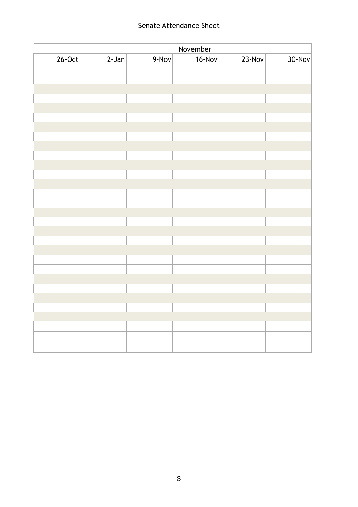# Senate Attendance Sheet

|        | November |       |        |        |           |
|--------|----------|-------|--------|--------|-----------|
| 26-Oct | $2-Jan$  | 9-Nov | 16-Nov | 23-Nov | $30$ -Nov |
|        |          |       |        |        |           |
|        |          |       |        |        |           |
|        |          |       |        |        |           |
|        |          |       |        |        |           |
|        |          |       |        |        |           |
|        |          |       |        |        |           |
|        |          |       |        |        |           |
|        |          |       |        |        |           |
|        |          |       |        |        |           |
|        |          |       |        |        |           |
|        |          |       |        |        |           |
|        |          |       |        |        |           |
|        |          |       |        |        |           |
|        |          |       |        |        |           |
|        |          |       |        |        |           |
|        |          |       |        |        |           |
|        |          |       |        |        |           |
|        |          |       |        |        |           |
|        |          |       |        |        |           |
|        |          |       |        |        |           |
|        |          |       |        |        |           |
|        |          |       |        |        |           |
|        |          |       |        |        |           |
|        |          |       |        |        |           |
|        |          |       |        |        |           |
|        |          |       |        |        |           |
|        |          |       |        |        |           |
|        |          |       |        |        |           |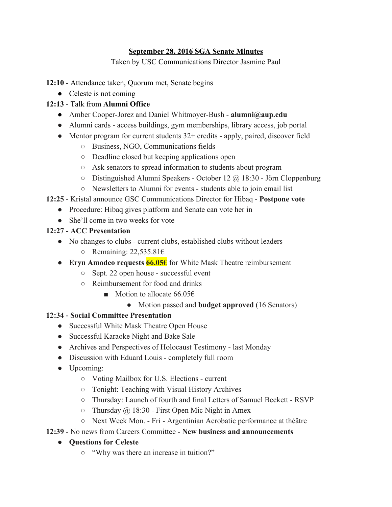### **September 28, 2016 SGA Senate Minutes**

Taken by USC Communications Director Jasmine Paul

### **12:10** - Attendance taken, Quorum met, Senate begins

• Celeste is not coming

# **12:13** - Talk from **Alumni Office**

- Amber Cooper-Jorez and Daniel Whitmoyer-Bush **alumni@aup.edu**
- Alumni cards access buildings, gym memberships, library access, job portal
- Mentor program for current students  $32+$  credits apply, paired, discover field
	- Business, NGO, Communications fields
	- Deadline closed but keeping applications open
	- Ask senators to spread information to students about program
	- Distinguished Alumni Speakers October 12 @ 18:30 Jörn Cloppenburg
	- Newsletters to Alumni for events students able to join email list

# **12:25** - Kristal announce GSC Communications Director for Hibaq - **Postpone vote**

- Procedure: Hibaq gives platform and Senate can vote her in
- She'll come in two weeks for vote

### **12:27 - ACC Presentation**

- No changes to clubs current clubs, established clubs without leaders
	- $\circ$  Remaining: 22,535.81€
- **Eryn Amodeo requests 66.05€** for White Mask Theatre reimbursement
	- Sept. 22 open house successful event
	- Reimbursement for food and drinks
		- Motion to allocate 66.05€
			- Motion passed and **budget approved** (16 Senators)

# **12:34 - Social Committee Presentation**

- Successful White Mask Theatre Open House
- Successful Karaoke Night and Bake Sale
- Archives and Perspectives of Holocaust Testimony last Monday
- Discussion with Eduard Louis completely full room
- Upcoming:
	- Voting Mailbox for U.S. Elections current
	- Tonight: Teaching with Visual History Archives
	- Thursday: Launch of fourth and final Letters of Samuel Beckett RSVP
	- $\circ$  Thursday @ 18:30 First Open Mic Night in Amex
	- Next Week Mon. Fri Argentinian Acrobatic performance at théâtre

# **12:39** - No news from Careers Committee - **New business and announcements**

# **● Questions for Celeste**

**○** "Why was there an increase in tuition?"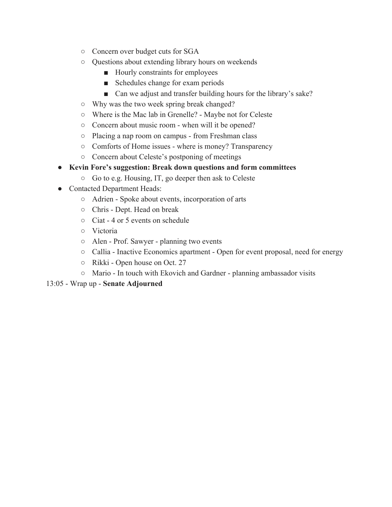- **○** Concern over budget cuts for SGA
- **○** Questions about extending library hours on weekends
	- Hourly constraints for employees
	- Schedules change for exam periods
	- Can we adjust and transfer building hours for the library's sake?
- **○** Why was the two week spring break changed?
- Where is the Mac lab in Grenelle? Maybe not for Celeste
- Concern about music room when will it be opened?
- Placing a nap room on campus from Freshman class
- Comforts of Home issues where is money? Transparency
- Concern about Celeste's postponing of meetings
- **● Kevin Fore's suggestion: Break down questions and form committees**
	- Go to e.g. Housing, IT, go deeper then ask to Celeste
- Contacted Department Heads:
	- Adrien Spoke about events, incorporation of arts
	- Chris Dept. Head on break
	- Ciat 4 or 5 events on schedule
	- Victoria
	- Alen Prof. Sawyer planning two events
	- Callia Inactive Economics apartment Open for event proposal, need for energy
	- Rikki Open house on Oct. 27
	- Mario In touch with Ekovich and Gardner planning ambassador visits

### 13:05 - Wrap up - **Senate Adjourned**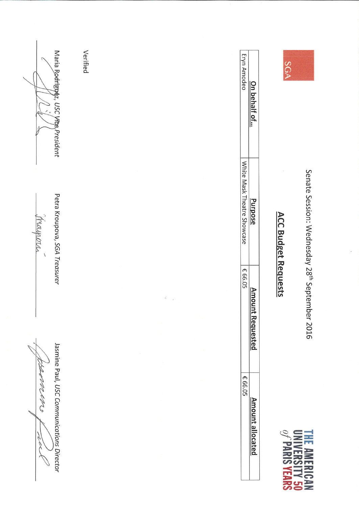byennem Teleck C

Jasmine Paul, USC Communications Director

mayora

Petra Kroupova, SGA Treasurer

Maria Rodrigtya, USC Vige President

Verified

Senate Session: Wednesday 28<sup>th</sup> September 2016



SGA

| On behalf of<br>urpose<br>luestec<br>t allocate |  |  |
|-------------------------------------------------|--|--|
|                                                 |  |  |
|                                                 |  |  |
|                                                 |  |  |
|                                                 |  |  |

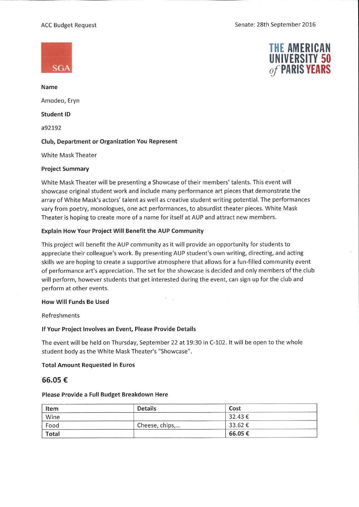### **ACC Budget Request**





Name Amodeo, Eryn **Student ID** 

a92192

#### Club, Department or Organization You Represent

**White Mask Theater** 

#### **Project Summary**

White Mask Theater will be presenting a Showcase of their members' talents. This event will showcase original student work and include many performance art pieces that demonstrate the array of White Mask's actors' talent as well as creative student writing potential. The performances vary from poetry, monologues, one act performances, to absurdist theater pieces. White Mask Theater is hoping to create more of a name for itself at AUP and attract new members.

### Explain How Your Project Will Benefit the AUP Community

This project will benefit the AUP community as it will provide an opportunity for students to appreciate their colleague's work. By presenting AUP student's own writing, directing, and acting skills we are hoping to create a supportive atmosphere that allows for a fun-filled community event of performance art's appreciation. The set for the showcase is decided and only members of the club will perform, however students that get interested during the event, can sign up for the club and perform at other events.

#### **How Will Funds Be Used**

### Refreshments

#### If Your Project Involves an Event, Please Provide Details

The event will be held on Thursday, September 22 at 19:30 in C-102. It will be open to the whole student body as the White Mask Theater's "Showcase".

#### **Total Amount Requested in Euros**

#### 66.05€

#### Please Provide a Full Budget Breakdown Here

| Item         | <b>Details</b> | Cost   |  |
|--------------|----------------|--------|--|
| Wine         |                | 32.43€ |  |
| Food         | Cheese, chips, | 33.62€ |  |
| <b>Total</b> |                | 66.05€ |  |